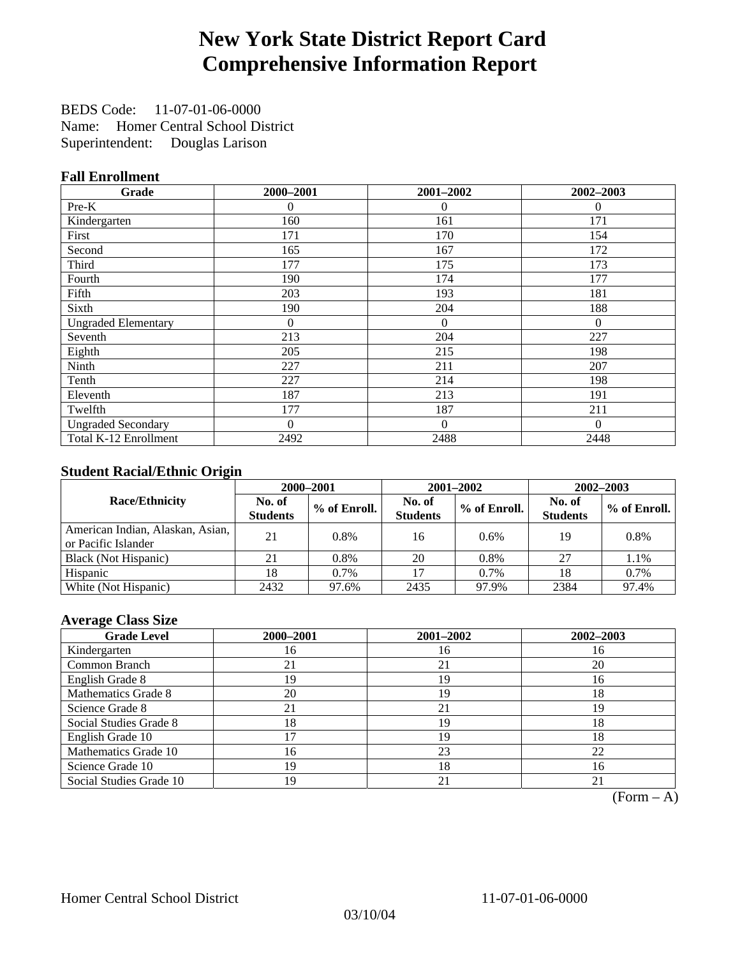# **New York State District Report Card Comprehensive Information Report**

BEDS Code: 11-07-01-06-0000 Name: Homer Central School District Superintendent: Douglas Larison

### **Fall Enrollment**

| Grade                      | 2000-2001      | 2001-2002    | 2002-2003 |
|----------------------------|----------------|--------------|-----------|
| Pre-K                      | $\theta$       | $\theta$     | $\theta$  |
| Kindergarten               | 160            | 161          | 171       |
| First                      | 171            | 170          | 154       |
| Second                     | 165            | 167          | 172       |
| Third                      | 177            | 175          | 173       |
| Fourth                     | 190            | 174          | 177       |
| Fifth                      | 203            | 193          | 181       |
| Sixth                      | 190            | 204          | 188       |
| <b>Ungraded Elementary</b> | $\overline{0}$ | $\mathbf{0}$ | $\Omega$  |
| Seventh                    | 213            | 204          | 227       |
| Eighth                     | 205            | 215          | 198       |
| Ninth                      | 227            | 211          | 207       |
| Tenth                      | 227            | 214          | 198       |
| Eleventh                   | 187            | 213          | 191       |
| Twelfth                    | 177            | 187          | 211       |
| <b>Ungraded Secondary</b>  | $\theta$       | $\Omega$     | $\Omega$  |
| Total K-12 Enrollment      | 2492           | 2488         | 2448      |

### **Student Racial/Ethnic Origin**

|                                                         |                           | 2001-2002<br>$2002 - 2003$<br>2000-2001 |                           |              |                           |                |
|---------------------------------------------------------|---------------------------|-----------------------------------------|---------------------------|--------------|---------------------------|----------------|
| <b>Race/Ethnicity</b>                                   | No. of<br><b>Students</b> | % of Enroll.                            | No. of<br><b>Students</b> | % of Enroll. | No. of<br><b>Students</b> | $%$ of Enroll. |
| American Indian, Alaskan, Asian,<br>or Pacific Islander | 21                        | 0.8%                                    | 16                        | 0.6%         | 19                        | 0.8%           |
| Black (Not Hispanic)                                    | 21                        | 0.8%                                    | 20                        | 0.8%         | 27                        | 1.1%           |
| Hispanic                                                | 18                        | $0.7\%$                                 | 17                        | $0.7\%$      | 18                        | 0.7%           |
| White (Not Hispanic)                                    | 2432                      | 97.6%                                   | 2435                      | 97.9%        | 2384                      | 97.4%          |

### **Average Class Size**

| <b>Grade Level</b>      | 2000-2001 | 2001-2002 | 2002-2003 |
|-------------------------|-----------|-----------|-----------|
| Kindergarten            | 16        | 16        | 16        |
| Common Branch           | 21        | 21        | 20        |
| English Grade 8         | 19        | 19        | 16        |
| Mathematics Grade 8     | 20        | 19        | 18        |
| Science Grade 8         | 21        | 21        | 19        |
| Social Studies Grade 8  | 18        | 19        | 18        |
| English Grade 10        |           | 19        | 18        |
| Mathematics Grade 10    | 16        | 23        | 22        |
| Science Grade 10        | 19        | 18        | 16        |
| Social Studies Grade 10 | 19        | 21        | 21        |

 $(Form - A)$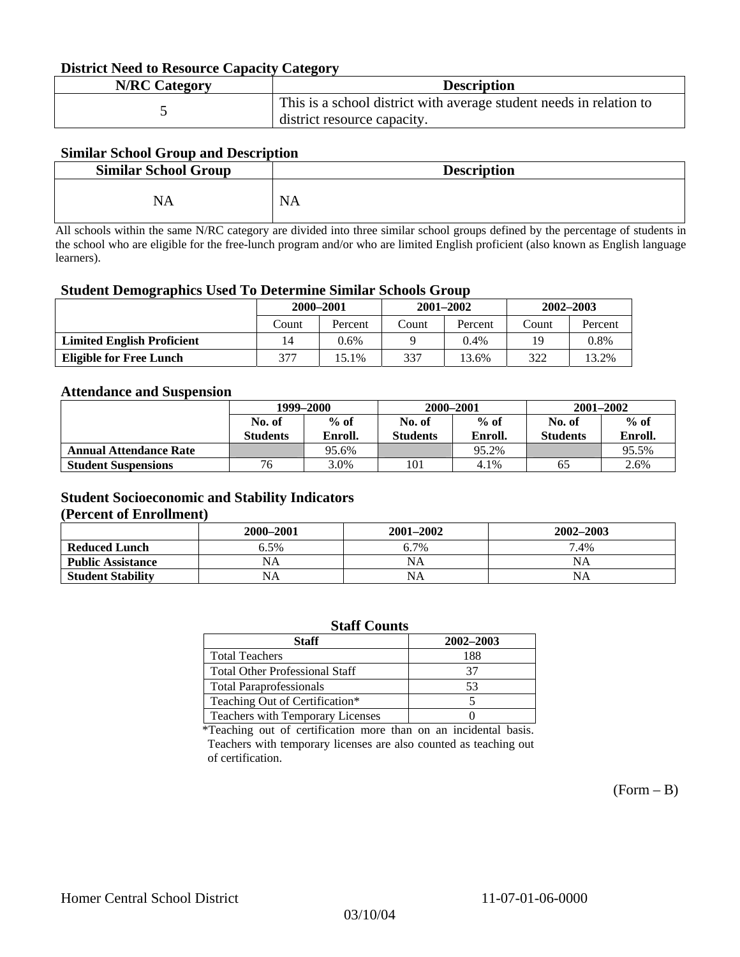#### **District Need to Resource Capacity Category**

| <b>N/RC Category</b> | <b>Description</b>                                                                                 |
|----------------------|----------------------------------------------------------------------------------------------------|
|                      | This is a school district with average student needs in relation to<br>district resource capacity. |

### **Similar School Group and Description**

| <b>Similar School Group</b> | <b>Description</b> |
|-----------------------------|--------------------|
| NΔ                          | N<br>мA            |

All schools within the same N/RC category are divided into three similar school groups defined by the percentage of students in the school who are eligible for the free-lunch program and/or who are limited English proficient (also known as English language learners).

#### **Student Demographics Used To Determine Similar Schools Group**

| 0                                 | 2000-2001 |         |       | $2001 - 2002$ | $2002 - 2003$ |         |
|-----------------------------------|-----------|---------|-------|---------------|---------------|---------|
|                                   | Count     | Percent | Count | Percent       | Count         | Percent |
| <b>Limited English Proficient</b> | 14        | 0.6%    |       | $0.4\%$       | 19            | 0.8%    |
| <b>Eligible for Free Lunch</b>    | 377       | 5.1%    | 337   | 13.6%         | 322           | 13.2%   |

#### **Attendance and Suspension**

|                               | 1999–2000       |         |                 | 2000-2001 | $2001 - 2002$   |         |
|-------------------------------|-----------------|---------|-----------------|-----------|-----------------|---------|
|                               | No. of          | $%$ of  | No. of          | $%$ of    | No. of          | $\%$ of |
|                               | <b>Students</b> | Enroll. | <b>Students</b> | Enroll.   | <b>Students</b> | Enroll. |
| <b>Annual Attendance Rate</b> |                 | 95.6%   |                 | 95.2%     |                 | 95.5%   |
| <b>Student Suspensions</b>    | 76              | 3.0%    | 101             | 4.1%      | 65              | 2.6%    |

### **Student Socioeconomic and Stability Indicators**

#### **(Percent of Enrollment)**

|                          | 2000-2001 | $2001 - 2002$ | 2002-2003 |
|--------------------------|-----------|---------------|-----------|
| <b>Reduced Lunch</b>     | 6.5%      | 6.7%          | 7.4%      |
| <b>Public Assistance</b> | NA        | NA            | NΑ        |
| <b>Student Stability</b> | NA        | NA            | NΑ        |

| <b>Staff Counts</b>                   |           |  |  |  |  |
|---------------------------------------|-----------|--|--|--|--|
| <b>Staff</b>                          | 2002-2003 |  |  |  |  |
| <b>Total Teachers</b>                 | 188       |  |  |  |  |
| <b>Total Other Professional Staff</b> | 37        |  |  |  |  |
| <b>Total Paraprofessionals</b>        | 53        |  |  |  |  |
| Teaching Out of Certification*        |           |  |  |  |  |
| Teachers with Temporary Licenses      |           |  |  |  |  |

\*Teaching out of certification more than on an incidental basis. Teachers with temporary licenses are also counted as teaching out of certification.

 $(Form - B)$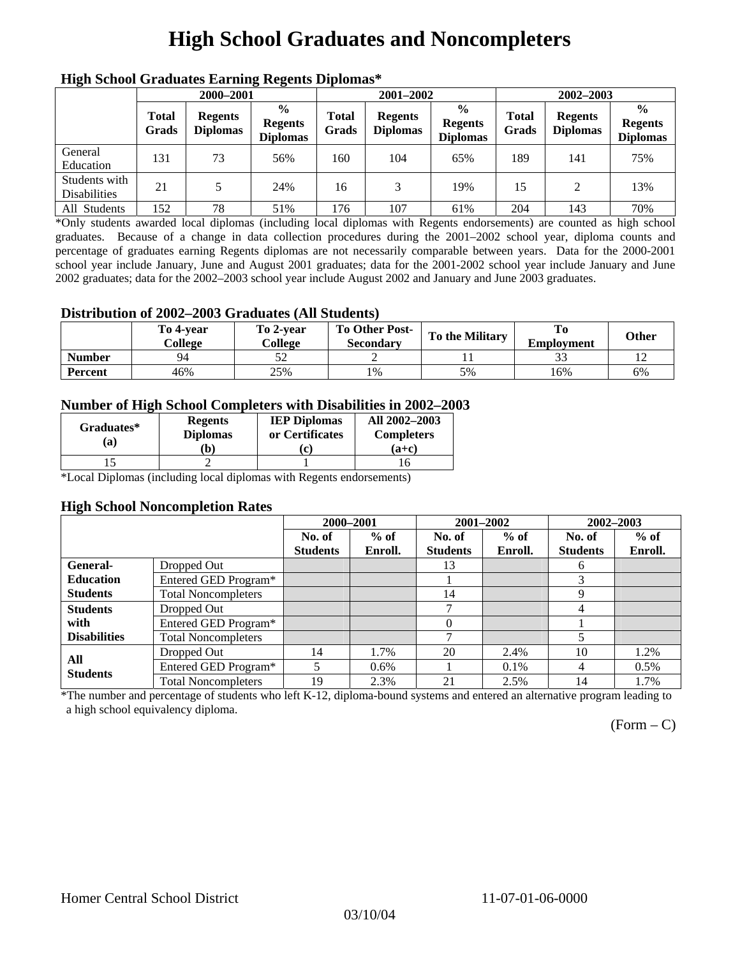# **High School Graduates and Noncompleters**

| ніді эспол этайнакі патінід кеденія вірюшая |                       |                                   |                                                    |                       |                                   |                                                    |                       |                                   |                                                    |  |
|---------------------------------------------|-----------------------|-----------------------------------|----------------------------------------------------|-----------------------|-----------------------------------|----------------------------------------------------|-----------------------|-----------------------------------|----------------------------------------------------|--|
|                                             | 2000-2001             |                                   |                                                    |                       | 2001-2002                         |                                                    |                       | 2002-2003                         |                                                    |  |
|                                             | <b>Total</b><br>Grads | <b>Regents</b><br><b>Diplomas</b> | $\frac{6}{9}$<br><b>Regents</b><br><b>Diplomas</b> | <b>Total</b><br>Grads | <b>Regents</b><br><b>Diplomas</b> | $\frac{6}{6}$<br><b>Regents</b><br><b>Diplomas</b> | <b>Total</b><br>Grads | <b>Regents</b><br><b>Diplomas</b> | $\frac{0}{0}$<br><b>Regents</b><br><b>Diplomas</b> |  |
| General<br>Education                        | 131                   | 73                                | 56%                                                | 160                   | 104                               | 65%                                                | 189                   | 141                               | 75%                                                |  |
| Students with<br><b>Disabilities</b>        | 21                    |                                   | 24%                                                | 16                    | 3                                 | 19%                                                | 15                    | $\mathfrak{D}$                    | 13%                                                |  |
| All Students                                | 152                   | 78                                | 51%                                                | 176                   | 107                               | 61%                                                | 204                   | 143                               | 70%                                                |  |

### **High School Graduates Earning Regents Diplomas\***

\*Only students awarded local diplomas (including local diplomas with Regents endorsements) are counted as high school graduates. Because of a change in data collection procedures during the 2001–2002 school year, diploma counts and percentage of graduates earning Regents diplomas are not necessarily comparable between years. Data for the 2000-2001 school year include January, June and August 2001 graduates; data for the 2001-2002 school year include January and June 2002 graduates; data for the 2002–2003 school year include August 2002 and January and June 2003 graduates.

### **Distribution of 2002–2003 Graduates (All Students)**

|               | To 4-vear<br>College | To 2-vear<br>College | <b>To Other Post-</b><br>Secondary | <b>To the Military</b> | To<br><b>Employment</b> | <b>Other</b> |
|---------------|----------------------|----------------------|------------------------------------|------------------------|-------------------------|--------------|
| <b>Number</b> | QΔ                   |                      |                                    |                        |                         |              |
| Percent       | 46%                  | 25%                  | 1%                                 | 5%                     | 16%                     | 6%           |

### **Number of High School Completers with Disabilities in 2002–2003**

| Graduates*<br>(a) | <b>Regents</b><br><b>Diplomas</b> | <b>IEP Diplomas</b><br>or Certificates | All 2002-2003<br><b>Completers</b> |  |
|-------------------|-----------------------------------|----------------------------------------|------------------------------------|--|
|                   | b)                                |                                        | $(a+c)$                            |  |
|                   |                                   |                                        |                                    |  |

\*Local Diplomas (including local diplomas with Regents endorsements)

#### **High School Noncompletion Rates**

|                        |                            | 2000-2001       |         |                 | 2001-2002 | 2002-2003       |         |
|------------------------|----------------------------|-----------------|---------|-----------------|-----------|-----------------|---------|
|                        |                            | No. of          | $%$ of  | No. of          | $%$ of    | No. of          | $%$ of  |
|                        |                            | <b>Students</b> | Enroll. | <b>Students</b> | Enroll.   | <b>Students</b> | Enroll. |
| <b>General-</b>        | Dropped Out                |                 |         | 13              |           | 6               |         |
| <b>Education</b>       | Entered GED Program*       |                 |         |                 |           | 3               |         |
| <b>Students</b>        | <b>Total Noncompleters</b> |                 |         | 14              |           | 9               |         |
| <b>Students</b>        | Dropped Out                |                 |         | ⇁               |           | 4               |         |
| with                   | Entered GED Program*       |                 |         | $\theta$        |           |                 |         |
| <b>Disabilities</b>    | <b>Total Noncompleters</b> |                 |         | ┑               |           |                 |         |
|                        | Dropped Out                | 14              | 1.7%    | 20              | 2.4%      | 10              | 1.2%    |
| All<br><b>Students</b> | Entered GED Program*       |                 | $0.6\%$ |                 | $0.1\%$   | 4               | $0.5\%$ |
|                        | <b>Total Noncompleters</b> | 19              | 2.3%    | 21              | 2.5%      | 14              | 1.7%    |

\*The number and percentage of students who left K-12, diploma-bound systems and entered an alternative program leading to a high school equivalency diploma.

 $(Form - C)$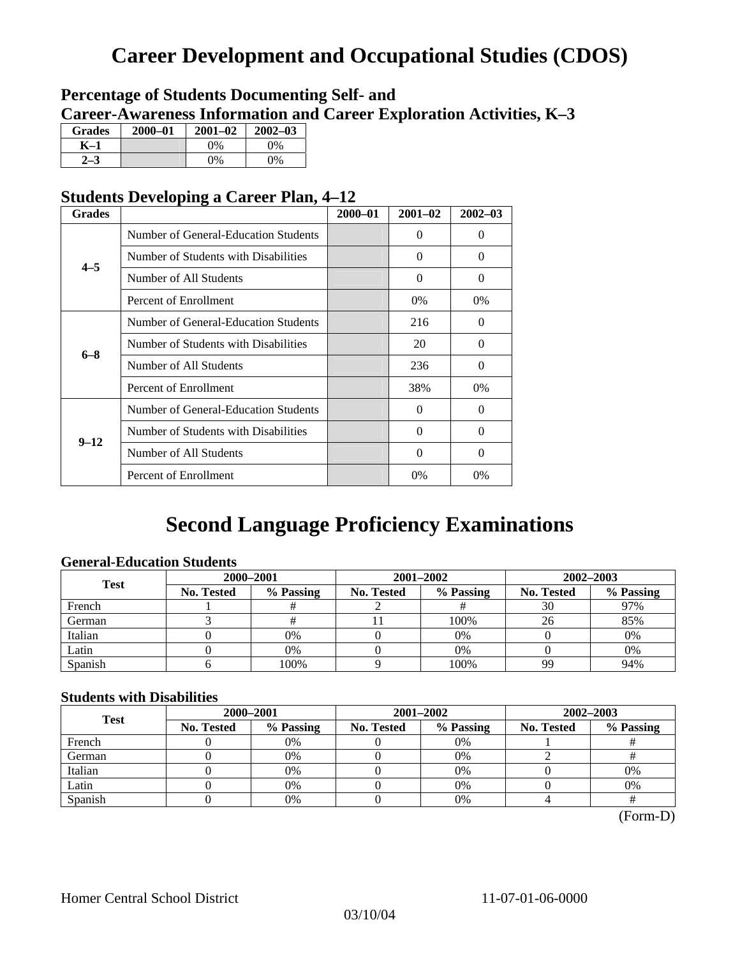# **Career Development and Occupational Studies (CDOS)**

### **Percentage of Students Documenting Self- and Career-Awareness Information and Career Exploration Activities, K–3**

| <b>Grades</b> | 2000-01 | $2001 - 02$ | $2002 - 03$ |
|---------------|---------|-------------|-------------|
| K-1           |         | $0\%$       | $0\%$       |
|               |         | $0\%$       | 0%          |

### **Students Developing a Career Plan, 4–12**

| <b>Grades</b> |                                      | $2000 - 01$ | $2001 - 02$ | $2002 - 03$ |
|---------------|--------------------------------------|-------------|-------------|-------------|
|               | Number of General-Education Students |             | 0           | $\Omega$    |
| $4 - 5$       | Number of Students with Disabilities |             | 0           | $\Omega$    |
|               | Number of All Students               |             | $\Omega$    | $\Omega$    |
|               | Percent of Enrollment                |             | 0%          | $0\%$       |
|               | Number of General-Education Students |             | 216         | $\Omega$    |
| $6 - 8$       | Number of Students with Disabilities |             | 20          | $\Omega$    |
|               | Number of All Students               |             | 236         | $\Omega$    |
|               | Percent of Enrollment                |             | 38%         | 0%          |
|               | Number of General-Education Students |             | $\Omega$    | $\Omega$    |
|               | Number of Students with Disabilities |             | 0           | $\Omega$    |
| $9 - 12$      | Number of All Students               |             | 0           | $\Omega$    |
|               | Percent of Enrollment                |             | $0\%$       | 0%          |

## **Second Language Proficiency Examinations**

### **General-Education Students**

| <b>Test</b> | 2000-2001         |           |                   | 2001-2002 | 2002-2003         |           |  |
|-------------|-------------------|-----------|-------------------|-----------|-------------------|-----------|--|
|             | <b>No. Tested</b> | % Passing | <b>No. Tested</b> | % Passing | <b>No. Tested</b> | % Passing |  |
| French      |                   |           |                   |           | 30                | 97%       |  |
| German      |                   |           |                   | 100%      | 26                | 85%       |  |
| Italian     |                   | $0\%$     |                   | 0%        |                   | 0%        |  |
| Latin       |                   | 0%        |                   | $0\%$     |                   | 0%        |  |
| Spanish     |                   | 100%      |                   | 100%      | 99                | 94%       |  |

### **Students with Disabilities**

| <b>Test</b> | 2000-2001         |           |  | 2001-2002               | 2002-2003 |                   |           |
|-------------|-------------------|-----------|--|-------------------------|-----------|-------------------|-----------|
|             | <b>No. Tested</b> | % Passing |  | % Passing<br>No. Tested |           | <b>No. Tested</b> | % Passing |
| French      |                   | 0%        |  | $0\%$                   |           |                   |           |
| German      |                   | 0%        |  | $0\%$                   |           |                   |           |
| Italian     |                   | 0%        |  | $0\%$                   |           | 0%                |           |
| Latin       |                   | $0\%$     |  | 0%                      |           | 0%                |           |
| Spanish     |                   | 0%        |  | 0%                      |           |                   |           |

(Form-D)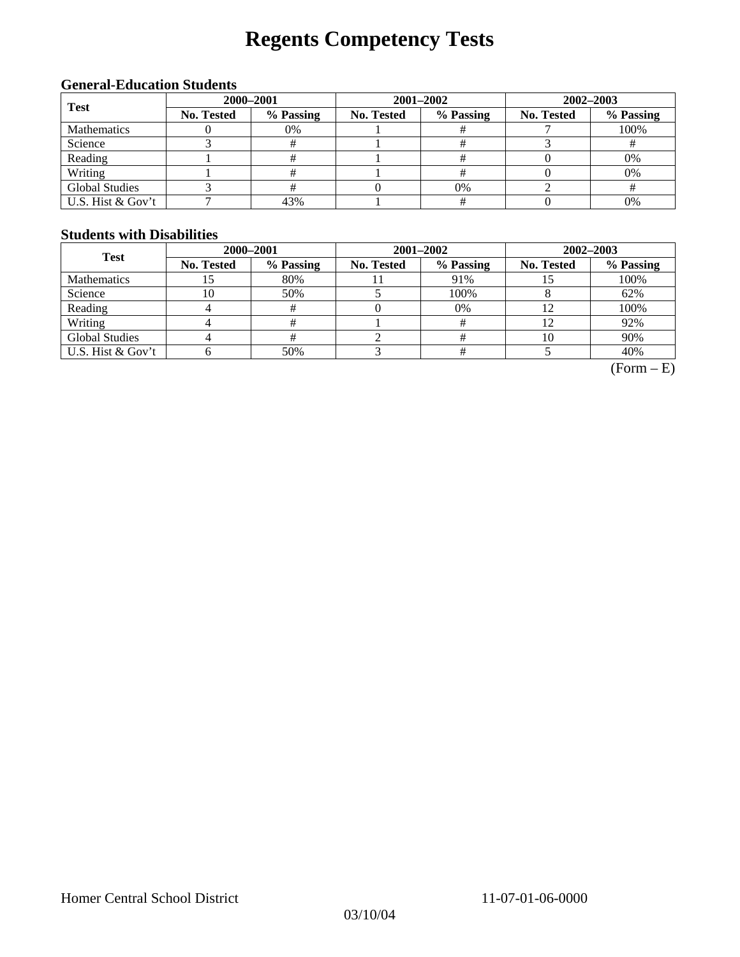# **Regents Competency Tests**

### **General-Education Students**

| <b>Test</b>           | 2000-2001  |           |            | 2001-2002 | 2002-2003        |           |  |
|-----------------------|------------|-----------|------------|-----------|------------------|-----------|--|
|                       | No. Tested | % Passing | No. Tested | % Passing | No. Tested<br>0% | % Passing |  |
| Mathematics           |            | 0%        |            |           |                  | 100%      |  |
| Science               |            |           |            |           |                  |           |  |
| Reading               |            |           |            |           |                  | 0%        |  |
| Writing               |            |           |            |           |                  | 0%        |  |
| <b>Global Studies</b> |            |           |            |           |                  |           |  |
| U.S. Hist & Gov't     |            | 43%       |            |           |                  | 0%        |  |

### **Students with Disabilities**

| <b>Test</b>           | 2000-2001         |           |            | 2001-2002 | 2002-2003         |           |  |
|-----------------------|-------------------|-----------|------------|-----------|-------------------|-----------|--|
|                       | <b>No. Tested</b> | % Passing | No. Tested | % Passing | <b>No. Tested</b> | % Passing |  |
| <b>Mathematics</b>    | IJ                | 80%       |            | 91%       |                   | 100%      |  |
| Science               | 10                | 50%       |            | 100%      |                   | 62%       |  |
| Reading               |                   | #         |            | $0\%$     |                   | 100%      |  |
| Writing               |                   |           |            |           | 12                | 92%       |  |
| <b>Global Studies</b> |                   |           |            |           | 10                | 90%       |  |
| U.S. Hist & Gov't     |                   | 50%       |            |           |                   | 40%       |  |

 $(Form - E)$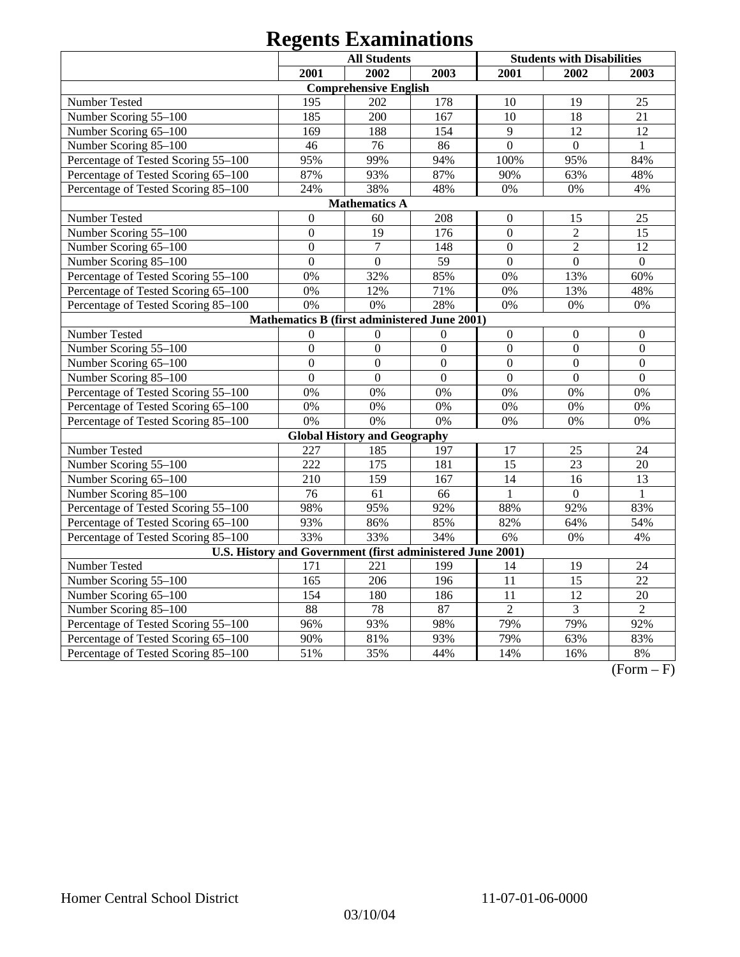|                                                            |                  | <b>All Students</b>                          |                  |                  | <b>Students with Disabilities</b> |                 |
|------------------------------------------------------------|------------------|----------------------------------------------|------------------|------------------|-----------------------------------|-----------------|
|                                                            | 2001             | 2002                                         | 2003             | 2001             | 2002                              | 2003            |
|                                                            |                  | <b>Comprehensive English</b>                 |                  |                  |                                   |                 |
| <b>Number Tested</b>                                       | 195              | 202                                          | 178              | 10               | 19                                | 25              |
| Number Scoring 55-100                                      | 185              | 200                                          | 167              | 10               | 18                                | 21              |
| Number Scoring 65-100                                      | 169              | 188                                          | 154              | 9                | 12                                | 12              |
| Number Scoring 85-100                                      | 46               | 76                                           | 86               | $\overline{0}$   | $\overline{0}$                    | $\mathbf{1}$    |
| Percentage of Tested Scoring 55-100                        | 95%              | 99%                                          | 94%              | 100%             | 95%                               | 84%             |
| Percentage of Tested Scoring 65-100                        | 87%              | 93%                                          | 87%              | 90%              | 63%                               | 48%             |
| Percentage of Tested Scoring 85-100                        | 24%              | 38%                                          | 48%              | 0%               | 0%                                | 4%              |
|                                                            |                  | <b>Mathematics A</b>                         |                  |                  |                                   |                 |
| Number Tested                                              | $\boldsymbol{0}$ | 60                                           | 208              | $\boldsymbol{0}$ | 15                                | 25              |
| Number Scoring 55-100                                      | $\overline{0}$   | 19                                           | 176              | $\overline{0}$   | $\overline{2}$                    | 15              |
| Number Scoring 65-100                                      | $\boldsymbol{0}$ | $\boldsymbol{7}$                             | 148              | $\overline{0}$   | $\sqrt{2}$                        | 12              |
| Number Scoring 85-100                                      | $\overline{0}$   | $\mathbf{0}$                                 | 59               | $\mathbf{0}$     | $\mathbf{0}$                      | $\mathbf{0}$    |
| Percentage of Tested Scoring 55-100                        | 0%               | 32%                                          | 85%              | 0%               | 13%                               | 60%             |
| Percentage of Tested Scoring 65-100                        | 0%               | 12%                                          | 71%              | 0%               | 13%                               | 48%             |
| Percentage of Tested Scoring 85-100                        | 0%               | 0%                                           | 28%              | 0%               | 0%                                | $0\%$           |
|                                                            |                  | Mathematics B (first administered June 2001) |                  |                  |                                   |                 |
| Number Tested                                              | $\overline{0}$   | $\mathbf{0}$                                 | $\boldsymbol{0}$ | $\boldsymbol{0}$ | $\mathbf{0}$                      | $\overline{0}$  |
| Number Scoring 55-100                                      | $\overline{0}$   | $\overline{0}$                               | $\overline{0}$   | $\overline{0}$   | $\overline{0}$                    | $\mathbf{0}$    |
| Number Scoring 65-100                                      | $\overline{0}$   | $\overline{0}$                               | $\overline{0}$   | $\overline{0}$   | $\overline{0}$                    | $\overline{0}$  |
| Number Scoring 85-100                                      | $\overline{0}$   | $\overline{0}$                               | $\overline{0}$   | $\overline{0}$   | $\Omega$                          | $\Omega$        |
| Percentage of Tested Scoring 55-100                        | 0%               | 0%                                           | 0%               | 0%               | 0%                                | 0%              |
| Percentage of Tested Scoring 65-100                        | 0%               | 0%                                           | 0%               | 0%               | 0%                                | 0%              |
| Percentage of Tested Scoring 85-100                        | 0%               | 0%                                           | 0%               | 0%               | 0%                                | 0%              |
|                                                            |                  | <b>Global History and Geography</b>          |                  |                  |                                   |                 |
| Number Tested                                              | 227              | 185                                          | 197              | 17               | 25                                | 24              |
| Number Scoring 55-100                                      | 222              | 175                                          | 181              | $\overline{15}$  | $\overline{23}$                   | 20              |
| Number Scoring 65-100                                      | 210              | 159                                          | 167              | 14               | 16                                | 13              |
| Number Scoring 85-100                                      | 76               | 61                                           | 66               | 1                | $\boldsymbol{0}$                  | 1               |
| Percentage of Tested Scoring 55-100                        | 98%              | 95%                                          | 92%              | 88%              | 92%                               | 83%             |
| Percentage of Tested Scoring 65-100                        | 93%              | 86%                                          | 85%              | 82%              | 64%                               | 54%             |
| Percentage of Tested Scoring 85-100                        | 33%              | 33%                                          | 34%              | 6%               | 0%                                | 4%              |
| U.S. History and Government (first administered June 2001) |                  |                                              |                  |                  |                                   |                 |
| Number Tested                                              | 171              | 221                                          | 199              | 14               | 19                                | 24              |
| Number Scoring 55-100                                      | 165              | 206                                          | 196              | $\overline{11}$  | $\overline{15}$                   | $\overline{22}$ |
| Number Scoring 65-100                                      | 154              | 180                                          | 186              | 11               | $\overline{12}$                   | 20              |
| Number Scoring 85-100                                      | 88               | 78                                           | 87               | $\overline{2}$   | $\overline{3}$                    | $\overline{2}$  |
| Percentage of Tested Scoring 55-100                        | 96%              | 93%                                          | 98%              | 79%              | 79%                               | 92%             |
| Percentage of Tested Scoring 65-100                        | 90%              | 81%                                          | 93%              | 79%              | 63%                               | 83%             |
| Percentage of Tested Scoring 85-100                        | 51%              | 35%                                          | 44%              | 14%              | 16%                               | 8%              |

 $(Form - F)$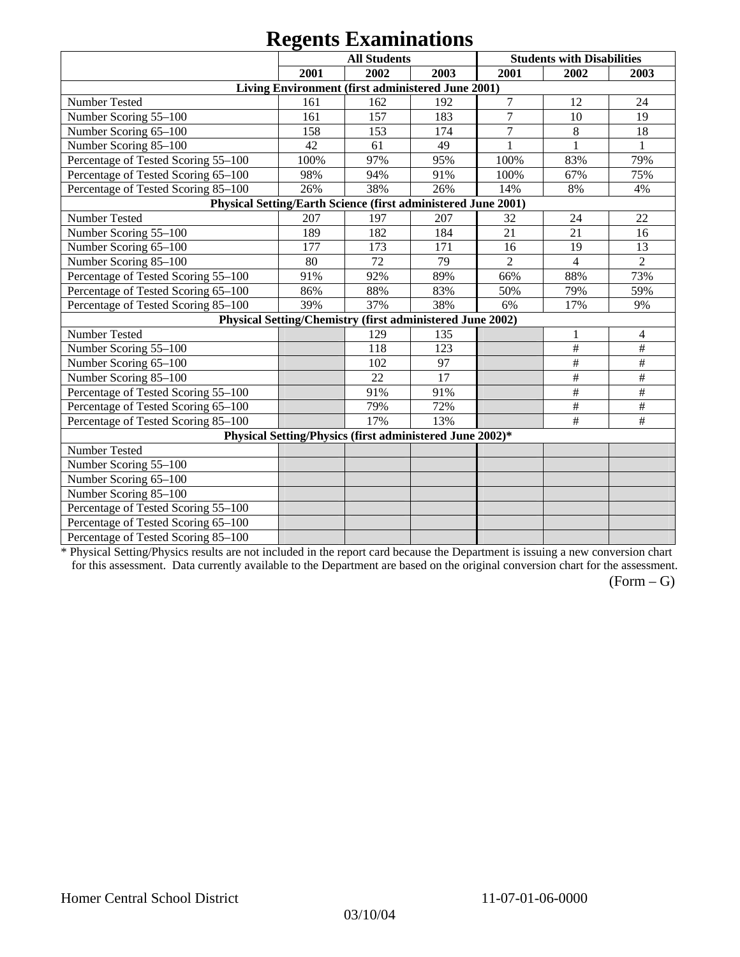|                                                               |      | $\sim$                                                    |      |                |                                   |                |
|---------------------------------------------------------------|------|-----------------------------------------------------------|------|----------------|-----------------------------------|----------------|
|                                                               |      | <b>All Students</b>                                       |      |                | <b>Students with Disabilities</b> |                |
|                                                               | 2001 | 2002                                                      | 2003 | 2001           | 2002                              | 2003           |
|                                                               |      | Living Environment (first administered June 2001)         |      |                |                                   |                |
| Number Tested                                                 | 161  | 162                                                       | 192  | $\overline{7}$ | 12                                | 24             |
| Number Scoring 55-100                                         | 161  | 157                                                       | 183  | $\overline{7}$ | 10                                | 19             |
| Number Scoring 65-100                                         | 158  | 153                                                       | 174  | $\overline{7}$ | 8                                 | 18             |
| Number Scoring 85-100                                         | 42   | 61                                                        | 49   |                |                                   |                |
| Percentage of Tested Scoring 55-100                           | 100% | 97%                                                       | 95%  | 100%           | 83%                               | 79%            |
| Percentage of Tested Scoring 65-100                           | 98%  | 94%                                                       | 91%  | 100%           | 67%                               | 75%            |
| Percentage of Tested Scoring 85-100                           | 26%  | 38%                                                       | 26%  | 14%            | 8%                                | 4%             |
| Physical Setting/Earth Science (first administered June 2001) |      |                                                           |      |                |                                   |                |
| Number Tested                                                 | 207  | 197                                                       | 207  | 32             | 24                                | 22             |
| Number Scoring 55-100                                         | 189  | 182                                                       | 184  | 21             | 21                                | 16             |
| Number Scoring 65-100                                         | 177  | 173                                                       | 171  | 16             | 19                                | 13             |
| Number Scoring 85-100                                         | 80   | 72                                                        | 79   | $\overline{2}$ | 4                                 | $\overline{2}$ |
| Percentage of Tested Scoring 55-100                           | 91%  | 92%                                                       | 89%  | 66%            | 88%                               | 73%            |
| Percentage of Tested Scoring 65-100                           | 86%  | 88%                                                       | 83%  | 50%            | 79%                               | 59%            |
| Percentage of Tested Scoring 85-100                           | 39%  | 37%                                                       | 38%  | 6%             | 17%                               | 9%             |
|                                                               |      | Physical Setting/Chemistry (first administered June 2002) |      |                |                                   |                |
| Number Tested                                                 |      | 129                                                       | 135  |                |                                   | 4              |
| Number Scoring 55-100                                         |      | 118                                                       | 123  |                | $\#$                              | $\#$           |
| Number Scoring 65-100                                         |      | 102                                                       | 97   |                | $\#$                              | $\#$           |
| Number Scoring 85-100                                         |      | 22                                                        | 17   |                | $\#$                              | $\#$           |
| Percentage of Tested Scoring 55-100                           |      | 91%                                                       | 91%  |                | $\#$                              | $\#$           |
| Percentage of Tested Scoring 65-100                           |      | 79%                                                       | 72%  |                | $\#$                              | $\#$           |
| Percentage of Tested Scoring 85-100                           |      | 17%                                                       | 13%  |                | $\#$                              | $\#$           |
|                                                               |      | Physical Setting/Physics (first administered June 2002)*  |      |                |                                   |                |
| Number Tested                                                 |      |                                                           |      |                |                                   |                |
| Number Scoring 55-100                                         |      |                                                           |      |                |                                   |                |
| Number Scoring 65-100                                         |      |                                                           |      |                |                                   |                |
| Number Scoring 85-100                                         |      |                                                           |      |                |                                   |                |
| Percentage of Tested Scoring 55-100                           |      |                                                           |      |                |                                   |                |
| Percentage of Tested Scoring 65-100                           |      |                                                           |      |                |                                   |                |
| Percentage of Tested Scoring 85-100                           |      |                                                           |      |                |                                   |                |

\* Physical Setting/Physics results are not included in the report card because the Department is issuing a new conversion chart for this assessment. Data currently available to the Department are based on the original conversion chart for the assessment.

 $(Form - G)$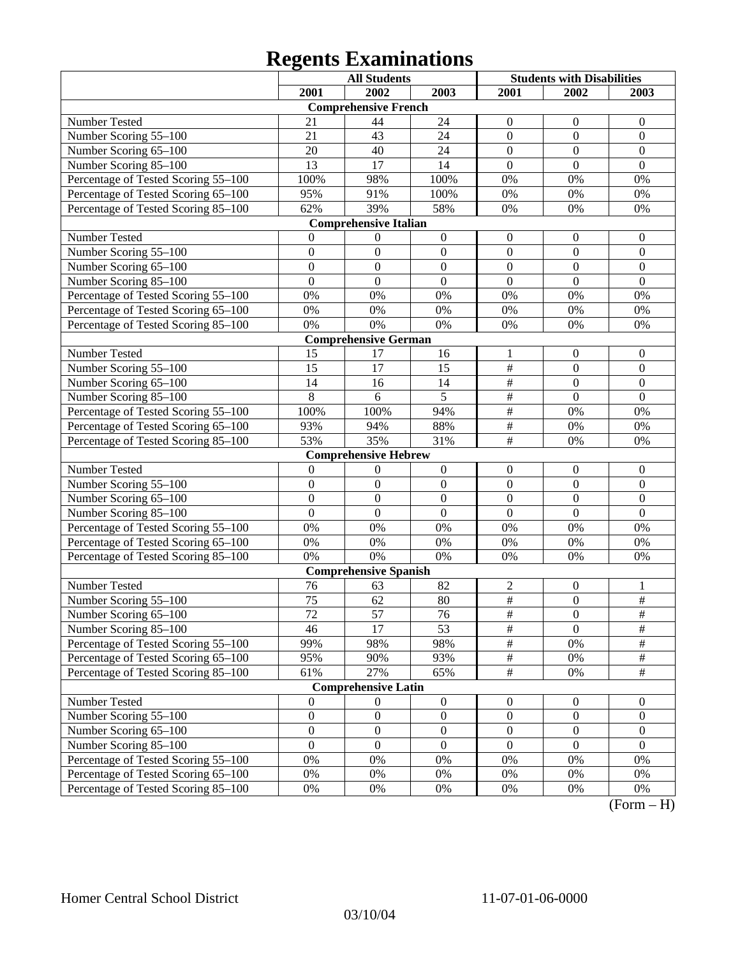|                                     |                  | <b>All Students</b>          |                  | <b>Students with Disabilities</b> |                  |                         |
|-------------------------------------|------------------|------------------------------|------------------|-----------------------------------|------------------|-------------------------|
|                                     | 2001             | 2002                         | 2003             | 2001                              | 2002             | 2003                    |
|                                     |                  | <b>Comprehensive French</b>  |                  |                                   |                  |                         |
| Number Tested                       | 21               | 44                           | 24               | $\mathbf{0}$                      | $\boldsymbol{0}$ | $\overline{0}$          |
| Number Scoring 55-100               | 21               | 43                           | 24               | $\overline{0}$                    | $\boldsymbol{0}$ | $\boldsymbol{0}$        |
| Number Scoring 65-100               | 20               | 40                           | 24               | $\overline{0}$                    | $\overline{0}$   | $\mathbf{0}$            |
| Number Scoring 85-100               | $\overline{13}$  | 17                           | 14               | $\overline{0}$                    | $\overline{0}$   | $\overline{0}$          |
| Percentage of Tested Scoring 55-100 | 100%             | 98%                          | 100%             | 0%                                | 0%               | 0%                      |
| Percentage of Tested Scoring 65-100 | 95%              | 91%                          | 100%             | 0%                                | 0%               | 0%                      |
| Percentage of Tested Scoring 85-100 | 62%              | 39%                          | 58%              | 0%                                | 0%               | 0%                      |
|                                     |                  | <b>Comprehensive Italian</b> |                  |                                   |                  |                         |
| Number Tested                       | $\Omega$         | 0                            | $\boldsymbol{0}$ | $\boldsymbol{0}$                  | $\boldsymbol{0}$ | $\boldsymbol{0}$        |
| Number Scoring 55-100               | $\overline{0}$   | $\mathbf{0}$                 | $\mathbf{0}$     | $\overline{0}$                    | $\overline{0}$   | $\boldsymbol{0}$        |
| Number Scoring 65-100               | $\overline{0}$   | $\mathbf{0}$                 | $\mathbf{0}$     | $\overline{0}$                    | $\overline{0}$   | $\boldsymbol{0}$        |
| Number Scoring 85-100               | $\overline{0}$   | $\boldsymbol{0}$             | $\mathbf{0}$     | $\overline{0}$                    | $\overline{0}$   | $\mathbf{0}$            |
| Percentage of Tested Scoring 55-100 | $0\%$            | 0%                           | 0%               | 0%                                | 0%               | 0%                      |
| Percentage of Tested Scoring 65-100 | $0\%$            | 0%                           | 0%               | 0%                                | 0%               | 0%                      |
| Percentage of Tested Scoring 85-100 | 0%               | 0%                           | 0%               | 0%                                | 0%               | 0%                      |
|                                     |                  | <b>Comprehensive German</b>  |                  |                                   |                  |                         |
| Number Tested                       | 15               | 17                           | 16               | 1                                 | $\boldsymbol{0}$ | $\boldsymbol{0}$        |
| Number Scoring 55-100               | 15               | 17                           | 15               | $\overline{\#}$                   | $\boldsymbol{0}$ | $\boldsymbol{0}$        |
| Number Scoring 65-100               | 14               | 16                           | 14               | $\overline{\#}$                   | $\overline{0}$   | $\overline{0}$          |
| Number Scoring 85-100               | 8                | 6                            | $\overline{5}$   | $\overline{\#}$                   | $\overline{0}$   | $\overline{0}$          |
| Percentage of Tested Scoring 55-100 | 100%             | 100%                         | 94%              | $\overline{\#}$                   | 0%               | 0%                      |
| Percentage of Tested Scoring 65-100 | 93%              | 94%                          | 88%              | $\overline{\#}$                   | 0%               | 0%                      |
| Percentage of Tested Scoring 85-100 | 53%              | 35%                          | 31%              | $\overline{\#}$                   | 0%               | 0%                      |
|                                     |                  | <b>Comprehensive Hebrew</b>  |                  |                                   |                  |                         |
| Number Tested                       | $\mathbf{0}$     | $\theta$                     | $\boldsymbol{0}$ | $\boldsymbol{0}$                  | $\boldsymbol{0}$ | $\boldsymbol{0}$        |
| Number Scoring 55-100               | $\overline{0}$   | $\mathbf{0}$                 | $\mathbf{0}$     | $\overline{0}$                    | $\overline{0}$   | $\mathbf{0}$            |
| Number Scoring 65-100               | $\overline{0}$   | $\mathbf{0}$                 | $\mathbf{0}$     | $\overline{0}$                    | $\overline{0}$   | $\boldsymbol{0}$        |
| Number Scoring 85-100               | $\overline{0}$   | $\boldsymbol{0}$             | $\mathbf{0}$     | $\overline{0}$                    | $\overline{0}$   | $\mathbf{0}$            |
| Percentage of Tested Scoring 55-100 | $0\%$            | 0%                           | 0%               | 0%                                | 0%               | 0%                      |
| Percentage of Tested Scoring 65-100 | $0\%$            | 0%                           | 0%               | 0%                                | 0%               | 0%                      |
| Percentage of Tested Scoring 85-100 | 0%               | 0%                           | 0%               | 0%                                | 0%               | 0%                      |
|                                     |                  | <b>Comprehensive Spanish</b> |                  |                                   |                  |                         |
| Number Tested                       | 76               | 63                           | 82               | $\sqrt{2}$                        | $\boldsymbol{0}$ | 1                       |
| Number Scoring 55-100               | $\overline{75}$  | 62                           | 80               | $\overline{\#}$                   | $\overline{0}$   | $\frac{1}{2}$           |
| Number Scoring 65–100               | $\overline{72}$  | 57                           | 76               | $\overline{\#}$                   | $\theta$         | $\overline{\#}$         |
| Number Scoring 85-100               | 46               | 17                           | 53               | $\overline{\#}$                   | $\overline{0}$   | $\frac{1}{2}$           |
| Percentage of Tested Scoring 55-100 | 99%              | 98%                          | 98%              | $\frac{1}{2}$                     | 0%               | $\#$                    |
| Percentage of Tested Scoring 65-100 | 95%              | 90%                          | 93%              | $\frac{1}{2}$                     | 0%               | $\frac{1}{2}$           |
| Percentage of Tested Scoring 85-100 | 61%              | 27%                          | 65%              | $\overline{\#}$                   | $0\%$            | $\frac{1}{2}$           |
|                                     |                  | <b>Comprehensive Latin</b>   |                  |                                   |                  |                         |
| Number Tested                       | $\mathbf{0}$     | $\boldsymbol{0}$             | $\boldsymbol{0}$ | $\boldsymbol{0}$                  | $\boldsymbol{0}$ | $\boldsymbol{0}$        |
| Number Scoring 55-100               | $\boldsymbol{0}$ | $\boldsymbol{0}$             | $\boldsymbol{0}$ | $\boldsymbol{0}$                  | $\boldsymbol{0}$ | $\boldsymbol{0}$        |
| Number Scoring 65-100               | $\boldsymbol{0}$ | $\boldsymbol{0}$             | $\boldsymbol{0}$ | $\boldsymbol{0}$                  | $\boldsymbol{0}$ | $\overline{0}$          |
| Number Scoring 85-100               | $\overline{0}$   | $\boldsymbol{0}$             | $\mathbf{0}$     | $\boldsymbol{0}$                  | $\boldsymbol{0}$ | $\overline{0}$          |
| Percentage of Tested Scoring 55-100 | $0\%$            | 0%                           | 0%               | 0%                                | $0\%$            | 0%                      |
| Percentage of Tested Scoring 65-100 | 0%               | 0%                           | $0\%$            | 0%                                | 0%               | 0%                      |
| Percentage of Tested Scoring 85-100 | $0\%$            | $0\%$                        | 0%               | 0%                                | 0%               | $0\%$<br>$\mathbf{T}$ . |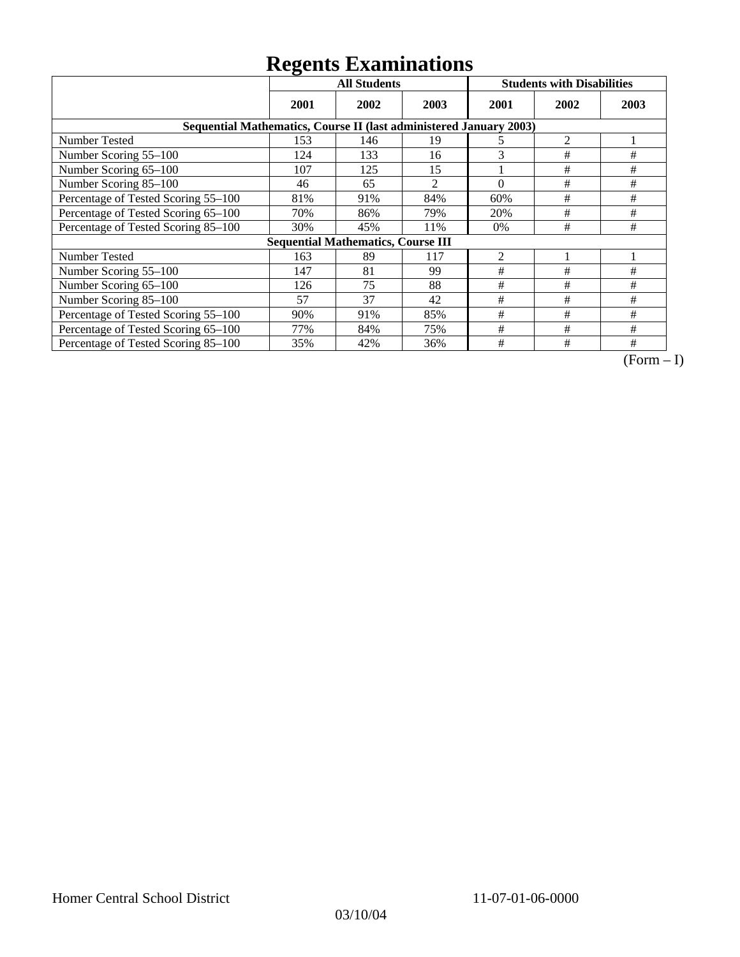|                                                                    | ິ<br><b>All Students</b> |                                           |                |                | <b>Students with Disabilities</b> |      |
|--------------------------------------------------------------------|--------------------------|-------------------------------------------|----------------|----------------|-----------------------------------|------|
|                                                                    | 2001                     | 2002                                      | 2003           | 2001           | 2002                              | 2003 |
| Sequential Mathematics, Course II (last administered January 2003) |                          |                                           |                |                |                                   |      |
| <b>Number Tested</b>                                               | 153                      | 146                                       | 19             | 5              | 2                                 |      |
| Number Scoring 55-100                                              | 124                      | 133                                       | 16             | 3              | #                                 | #    |
| Number Scoring 65-100                                              | 107                      | 125                                       | 15             |                | #                                 | $\#$ |
| Number Scoring 85-100                                              | 46                       | 65                                        | $\overline{2}$ | $\theta$       | $\#$                              | #    |
| Percentage of Tested Scoring 55-100                                | 81%                      | 91%                                       | 84%            | 60%            | $\#$                              | #    |
| Percentage of Tested Scoring 65-100                                | 70%                      | 86%                                       | 79%            | 20%            | #                                 | $\#$ |
| Percentage of Tested Scoring 85-100                                | 30%                      | 45%                                       | 11%            | $0\%$          | $\#$                              | $\#$ |
|                                                                    |                          | <b>Sequential Mathematics, Course III</b> |                |                |                                   |      |
| <b>Number Tested</b>                                               | 163                      | 89                                        | 117            | $\overline{2}$ |                                   |      |
| Number Scoring 55-100                                              | 147                      | 81                                        | 99             | #              | #                                 | #    |
| Number Scoring 65-100                                              | 126                      | 75                                        | 88             | #              | #                                 | #    |
| Number Scoring 85-100                                              | 57                       | 37                                        | 42             | #              | #                                 | #    |
| Percentage of Tested Scoring 55-100                                | 90%                      | 91%                                       | 85%            | #              | #                                 | #    |
| Percentage of Tested Scoring 65-100                                | 77%                      | 84%                                       | 75%            | $\#$           | #                                 | #    |
| Percentage of Tested Scoring 85-100                                | 35%                      | 42%                                       | 36%            | #              | #                                 | #    |

 $\overline{(Form-I)}$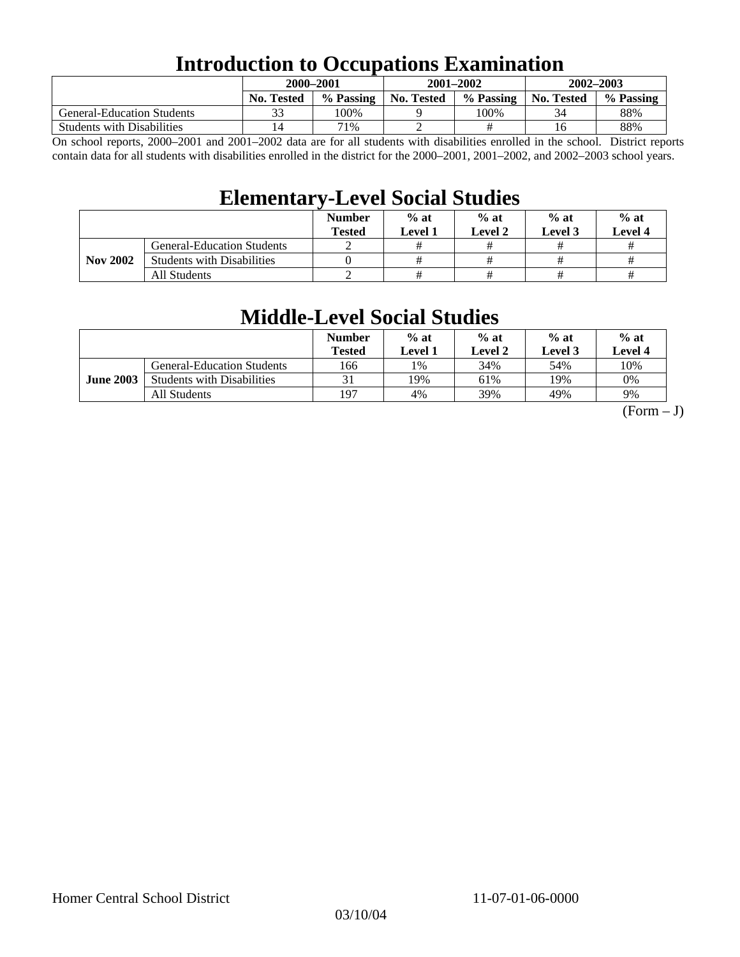## **Introduction to Occupations Examination**

|                                   | 2000–2001         |           |            | $2001 - 2002$ | $2002 - 2003$     |           |  |
|-----------------------------------|-------------------|-----------|------------|---------------|-------------------|-----------|--|
|                                   | <b>No. Tested</b> | % Passing | No. Tested | % Passing     | <b>No. Tested</b> | % Passing |  |
| <b>General-Education Students</b> |                   | 100%      |            | 100%          | 34                | 88%       |  |
| <b>Students with Disabilities</b> | <b>4</b>          | 71%       | ∼          |               | 16                | 88%       |  |

On school reports, 2000–2001 and 2001–2002 data are for all students with disabilities enrolled in the school. District reports contain data for all students with disabilities enrolled in the district for the 2000–2001, 2001–2002, and 2002–2003 school years.

### **Elementary-Level Social Studies**

|                 |                                   | <b>Number</b><br><b>Tested</b> | $%$ at<br><b>Level 1</b> | $%$ at<br>Level 2 | $%$ at<br>Level 3 | $%$ at<br>Level 4 |
|-----------------|-----------------------------------|--------------------------------|--------------------------|-------------------|-------------------|-------------------|
| <b>Nov 2002</b> | <b>General-Education Students</b> |                                |                          |                   |                   |                   |
|                 | <b>Students with Disabilities</b> |                                |                          |                   |                   |                   |
|                 | All Students                      |                                |                          | #                 |                   |                   |

## **Middle-Level Social Studies**

|                  |                                   | <b>Number</b><br>Tested | $%$ at<br>Level 1 | $%$ at<br>Level 2 | $%$ at<br>Level 3 | $%$ at<br>Level 4 |
|------------------|-----------------------------------|-------------------------|-------------------|-------------------|-------------------|-------------------|
| <b>June 2003</b> | <b>General-Education Students</b> | 166                     | 1%                | 34%               | 54%               | 10%               |
|                  | <b>Students with Disabilities</b> |                         | 19%               | 61%               | 19%               | 0%                |
|                  | All Students                      | 197                     | 4%                | 39%               | 49%               | 9%                |

 $(Form - J)$